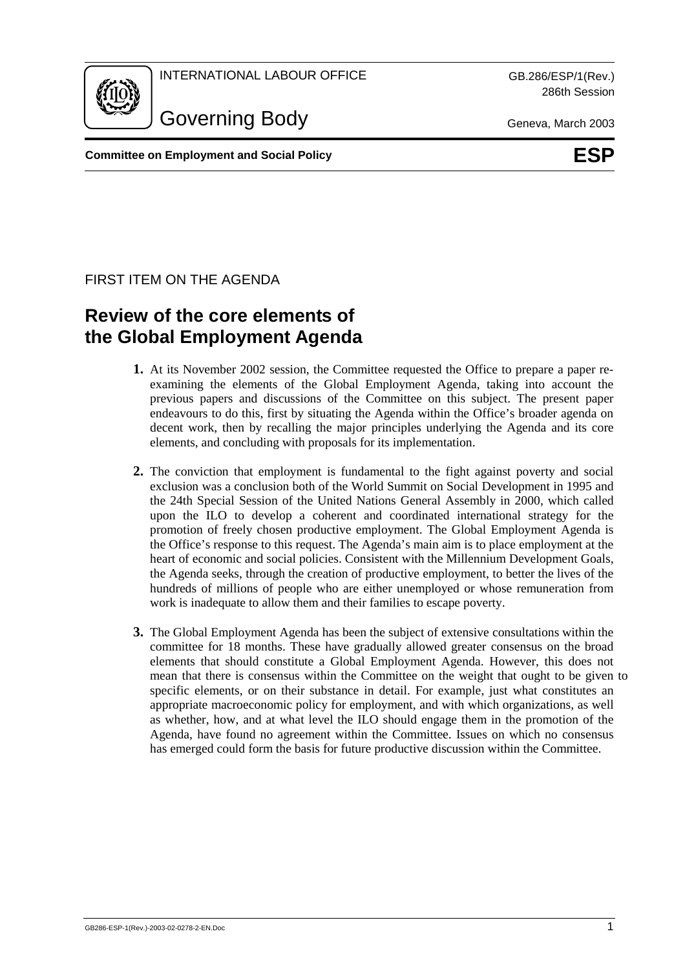

286th Session

Governing Body Geneva, March 2003

**Committee on Employment and Social Policy Committee on ESP** 

# FIRST ITEM ON THE AGENDA

# **Review of the core elements of the Global Employment Agenda**

- **1.** At its November 2002 session, the Committee requested the Office to prepare a paper reexamining the elements of the Global Employment Agenda, taking into account the previous papers and discussions of the Committee on this subject. The present paper endeavours to do this, first by situating the Agenda within the Office's broader agenda on decent work, then by recalling the major principles underlying the Agenda and its core elements, and concluding with proposals for its implementation.
- **2.** The conviction that employment is fundamental to the fight against poverty and social exclusion was a conclusion both of the World Summit on Social Development in 1995 and the 24th Special Session of the United Nations General Assembly in 2000, which called upon the ILO to develop a coherent and coordinated international strategy for the promotion of freely chosen productive employment. The Global Employment Agenda is the Office's response to this request. The Agenda's main aim is to place employment at the heart of economic and social policies. Consistent with the Millennium Development Goals, the Agenda seeks, through the creation of productive employment, to better the lives of the hundreds of millions of people who are either unemployed or whose remuneration from work is inadequate to allow them and their families to escape poverty.
- **3.** The Global Employment Agenda has been the subject of extensive consultations within the committee for 18 months. These have gradually allowed greater consensus on the broad elements that should constitute a Global Employment Agenda. However, this does not mean that there is consensus within the Committee on the weight that ought to be given to specific elements, or on their substance in detail. For example, just what constitutes an appropriate macroeconomic policy for employment, and with which organizations, as well as whether, how, and at what level the ILO should engage them in the promotion of the Agenda, have found no agreement within the Committee. Issues on which no consensus has emerged could form the basis for future productive discussion within the Committee.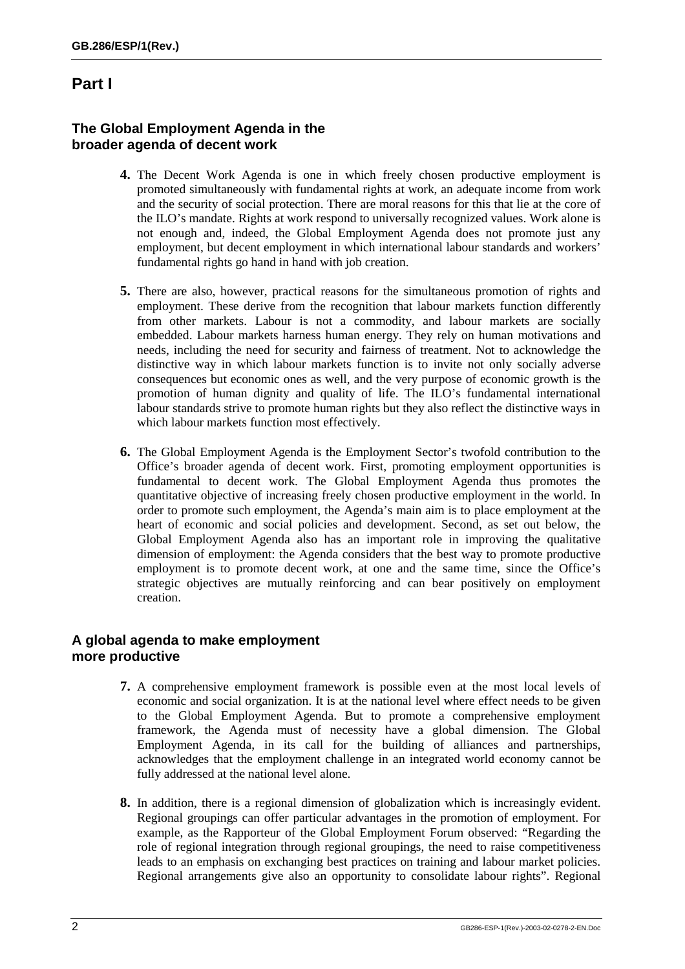# **Part I**

### **The Global Employment Agenda in the broader agenda of decent work**

- **4.** The Decent Work Agenda is one in which freely chosen productive employment is promoted simultaneously with fundamental rights at work, an adequate income from work and the security of social protection. There are moral reasons for this that lie at the core of the ILO's mandate. Rights at work respond to universally recognized values. Work alone is not enough and, indeed, the Global Employment Agenda does not promote just any employment, but decent employment in which international labour standards and workers' fundamental rights go hand in hand with job creation.
- **5.** There are also, however, practical reasons for the simultaneous promotion of rights and employment. These derive from the recognition that labour markets function differently from other markets. Labour is not a commodity, and labour markets are socially embedded. Labour markets harness human energy. They rely on human motivations and needs, including the need for security and fairness of treatment. Not to acknowledge the distinctive way in which labour markets function is to invite not only socially adverse consequences but economic ones as well, and the very purpose of economic growth is the promotion of human dignity and quality of life. The ILO's fundamental international labour standards strive to promote human rights but they also reflect the distinctive ways in which labour markets function most effectively.
- **6.** The Global Employment Agenda is the Employment Sector's twofold contribution to the Office's broader agenda of decent work. First, promoting employment opportunities is fundamental to decent work. The Global Employment Agenda thus promotes the quantitative objective of increasing freely chosen productive employment in the world. In order to promote such employment, the Agenda's main aim is to place employment at the heart of economic and social policies and development. Second, as set out below, the Global Employment Agenda also has an important role in improving the qualitative dimension of employment: the Agenda considers that the best way to promote productive employment is to promote decent work, at one and the same time, since the Office's strategic objectives are mutually reinforcing and can bear positively on employment creation.

### **A global agenda to make employment more productive**

- **7.** A comprehensive employment framework is possible even at the most local levels of economic and social organization. It is at the national level where effect needs to be given to the Global Employment Agenda. But to promote a comprehensive employment framework, the Agenda must of necessity have a global dimension. The Global Employment Agenda, in its call for the building of alliances and partnerships, acknowledges that the employment challenge in an integrated world economy cannot be fully addressed at the national level alone.
- **8.** In addition, there is a regional dimension of globalization which is increasingly evident. Regional groupings can offer particular advantages in the promotion of employment. For example, as the Rapporteur of the Global Employment Forum observed: "Regarding the role of regional integration through regional groupings, the need to raise competitiveness leads to an emphasis on exchanging best practices on training and labour market policies. Regional arrangements give also an opportunity to consolidate labour rights". Regional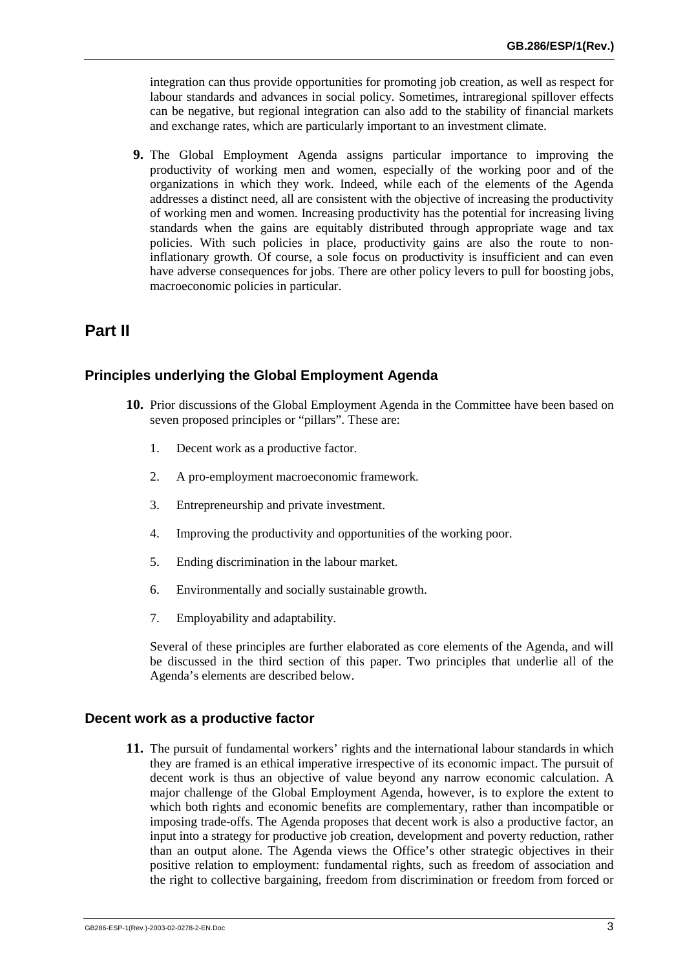integration can thus provide opportunities for promoting job creation, as well as respect for labour standards and advances in social policy. Sometimes, intraregional spillover effects can be negative, but regional integration can also add to the stability of financial markets and exchange rates, which are particularly important to an investment climate.

**9.** The Global Employment Agenda assigns particular importance to improving the productivity of working men and women, especially of the working poor and of the organizations in which they work. Indeed, while each of the elements of the Agenda addresses a distinct need, all are consistent with the objective of increasing the productivity of working men and women. Increasing productivity has the potential for increasing living standards when the gains are equitably distributed through appropriate wage and tax policies. With such policies in place, productivity gains are also the route to noninflationary growth. Of course, a sole focus on productivity is insufficient and can even have adverse consequences for jobs. There are other policy levers to pull for boosting jobs, macroeconomic policies in particular.

# **Part II**

#### **Principles underlying the Global Employment Agenda**

- **10.** Prior discussions of the Global Employment Agenda in the Committee have been based on seven proposed principles or "pillars". These are:
	- 1. Decent work as a productive factor.
	- 2. A pro-employment macroeconomic framework.
	- 3. Entrepreneurship and private investment.
	- 4. Improving the productivity and opportunities of the working poor.
	- 5. Ending discrimination in the labour market.
	- 6. Environmentally and socially sustainable growth.
	- 7. Employability and adaptability.

Several of these principles are further elaborated as core elements of the Agenda, and will be discussed in the third section of this paper. Two principles that underlie all of the Agenda's elements are described below.

#### **Decent work as a productive factor**

**11.** The pursuit of fundamental workers' rights and the international labour standards in which they are framed is an ethical imperative irrespective of its economic impact. The pursuit of decent work is thus an objective of value beyond any narrow economic calculation. A major challenge of the Global Employment Agenda, however, is to explore the extent to which both rights and economic benefits are complementary, rather than incompatible or imposing trade-offs. The Agenda proposes that decent work is also a productive factor, an input into a strategy for productive job creation, development and poverty reduction, rather than an output alone. The Agenda views the Office's other strategic objectives in their positive relation to employment: fundamental rights, such as freedom of association and the right to collective bargaining, freedom from discrimination or freedom from forced or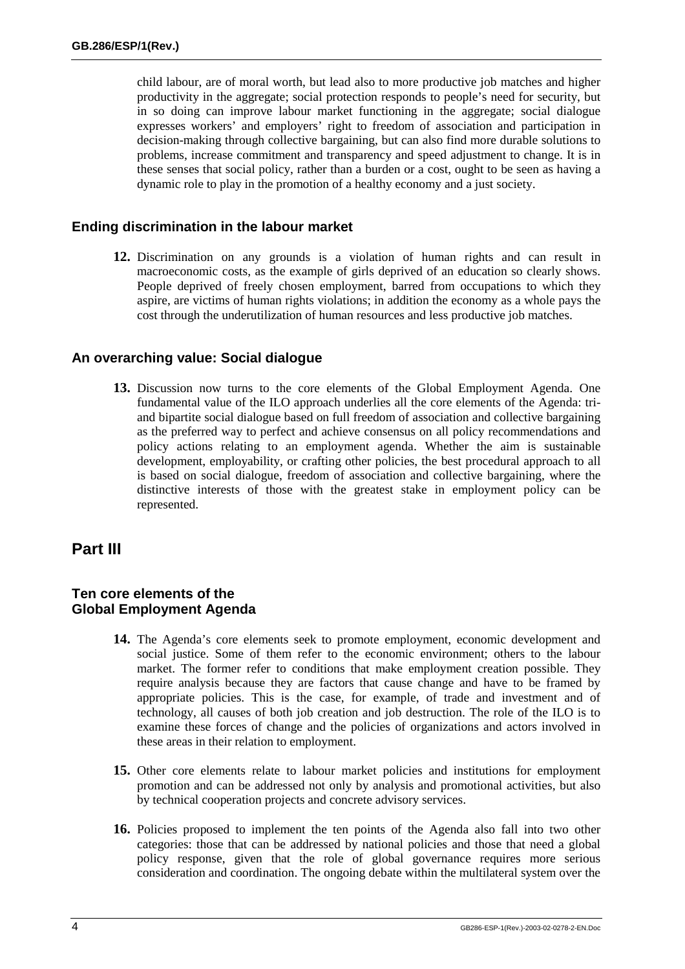child labour, are of moral worth, but lead also to more productive job matches and higher productivity in the aggregate; social protection responds to people's need for security, but in so doing can improve labour market functioning in the aggregate; social dialogue expresses workers' and employers' right to freedom of association and participation in decision-making through collective bargaining, but can also find more durable solutions to problems, increase commitment and transparency and speed adjustment to change. It is in these senses that social policy, rather than a burden or a cost, ought to be seen as having a dynamic role to play in the promotion of a healthy economy and a just society.

#### **Ending discrimination in the labour market**

**12.** Discrimination on any grounds is a violation of human rights and can result in macroeconomic costs, as the example of girls deprived of an education so clearly shows. People deprived of freely chosen employment, barred from occupations to which they aspire, are victims of human rights violations; in addition the economy as a whole pays the cost through the underutilization of human resources and less productive job matches.

#### **An overarching value: Social dialogue**

**13.** Discussion now turns to the core elements of the Global Employment Agenda. One fundamental value of the ILO approach underlies all the core elements of the Agenda: triand bipartite social dialogue based on full freedom of association and collective bargaining as the preferred way to perfect and achieve consensus on all policy recommendations and policy actions relating to an employment agenda. Whether the aim is sustainable development, employability, or crafting other policies, the best procedural approach to all is based on social dialogue, freedom of association and collective bargaining, where the distinctive interests of those with the greatest stake in employment policy can be represented.

# **Part III**

#### **Ten core elements of the Global Employment Agenda**

- **14.** The Agenda's core elements seek to promote employment, economic development and social justice. Some of them refer to the economic environment; others to the labour market. The former refer to conditions that make employment creation possible. They require analysis because they are factors that cause change and have to be framed by appropriate policies. This is the case, for example, of trade and investment and of technology, all causes of both job creation and job destruction. The role of the ILO is to examine these forces of change and the policies of organizations and actors involved in these areas in their relation to employment.
- **15.** Other core elements relate to labour market policies and institutions for employment promotion and can be addressed not only by analysis and promotional activities, but also by technical cooperation projects and concrete advisory services.
- **16.** Policies proposed to implement the ten points of the Agenda also fall into two other categories: those that can be addressed by national policies and those that need a global policy response, given that the role of global governance requires more serious consideration and coordination. The ongoing debate within the multilateral system over the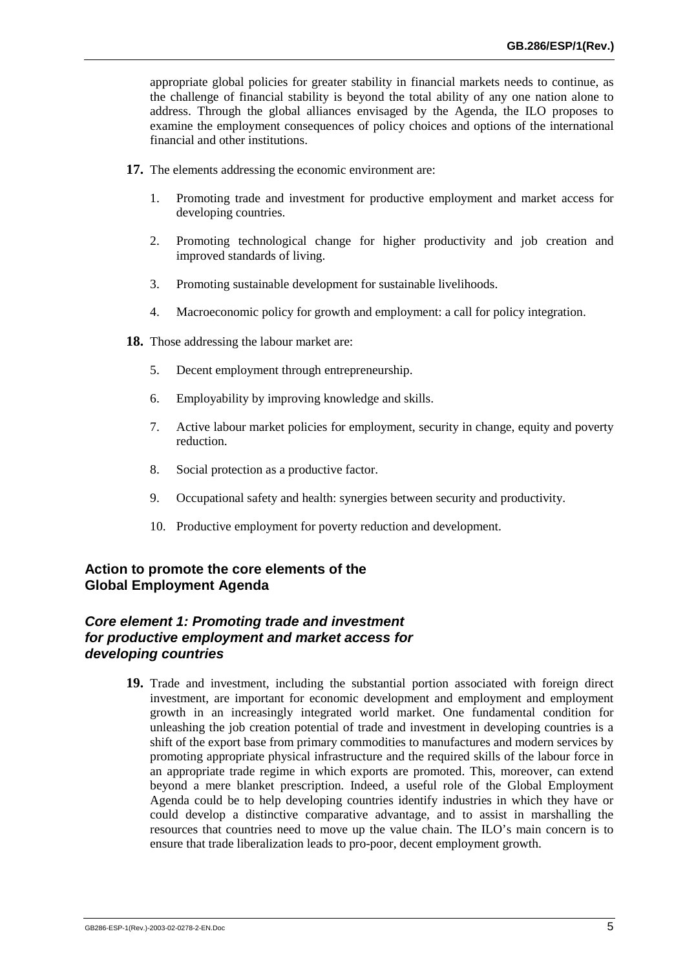appropriate global policies for greater stability in financial markets needs to continue, as the challenge of financial stability is beyond the total ability of any one nation alone to address. Through the global alliances envisaged by the Agenda, the ILO proposes to examine the employment consequences of policy choices and options of the international financial and other institutions.

- **17.** The elements addressing the economic environment are:
	- 1. Promoting trade and investment for productive employment and market access for developing countries.
	- 2. Promoting technological change for higher productivity and job creation and improved standards of living.
	- 3. Promoting sustainable development for sustainable livelihoods.
	- 4. Macroeconomic policy for growth and employment: a call for policy integration.
- **18.** Those addressing the labour market are:
	- 5. Decent employment through entrepreneurship.
	- 6. Employability by improving knowledge and skills.
	- 7. Active labour market policies for employment, security in change, equity and poverty reduction.
	- 8. Social protection as a productive factor.
	- 9. Occupational safety and health: synergies between security and productivity.
	- 10. Productive employment for poverty reduction and development.

# **Action to promote the core elements of the Global Employment Agenda**

#### *Core element 1: Promoting trade and investment for productive employment and market access for developing countries*

**19.** Trade and investment, including the substantial portion associated with foreign direct investment, are important for economic development and employment and employment growth in an increasingly integrated world market. One fundamental condition for unleashing the job creation potential of trade and investment in developing countries is a shift of the export base from primary commodities to manufactures and modern services by promoting appropriate physical infrastructure and the required skills of the labour force in an appropriate trade regime in which exports are promoted. This, moreover, can extend beyond a mere blanket prescription. Indeed, a useful role of the Global Employment Agenda could be to help developing countries identify industries in which they have or could develop a distinctive comparative advantage, and to assist in marshalling the resources that countries need to move up the value chain. The ILO's main concern is to ensure that trade liberalization leads to pro-poor, decent employment growth.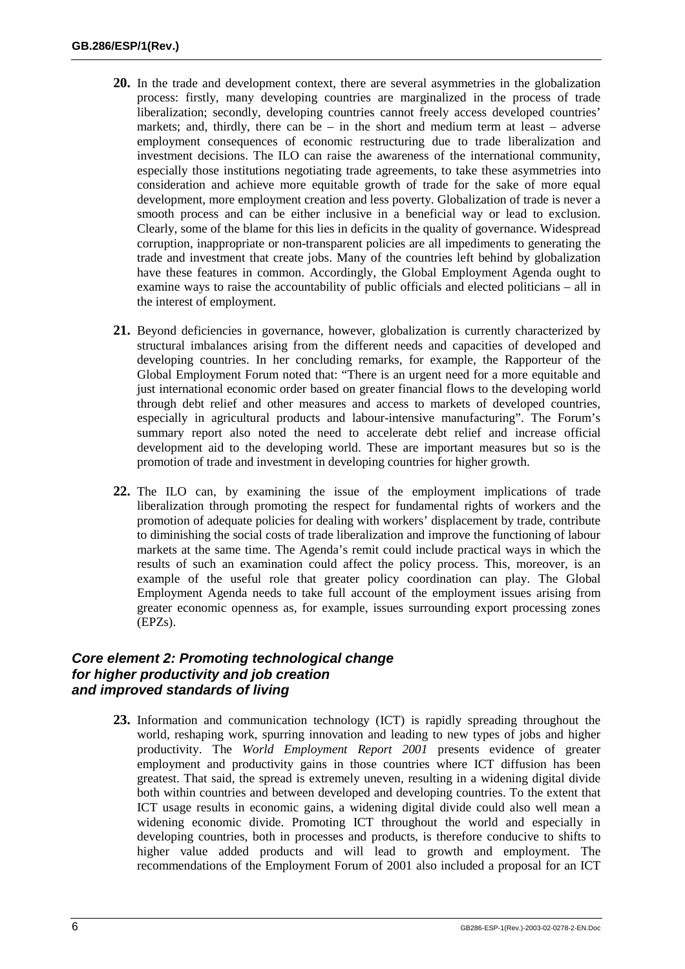- **20.** In the trade and development context, there are several asymmetries in the globalization process: firstly, many developing countries are marginalized in the process of trade liberalization; secondly, developing countries cannot freely access developed countries' markets; and, thirdly, there can be  $-$  in the short and medium term at least  $-$  adverse employment consequences of economic restructuring due to trade liberalization and investment decisions. The ILO can raise the awareness of the international community, especially those institutions negotiating trade agreements, to take these asymmetries into consideration and achieve more equitable growth of trade for the sake of more equal development, more employment creation and less poverty. Globalization of trade is never a smooth process and can be either inclusive in a beneficial way or lead to exclusion. Clearly, some of the blame for this lies in deficits in the quality of governance. Widespread corruption, inappropriate or non-transparent policies are all impediments to generating the trade and investment that create jobs. Many of the countries left behind by globalization have these features in common. Accordingly, the Global Employment Agenda ought to examine ways to raise the accountability of public officials and elected politicians – all in the interest of employment.
- 21. Beyond deficiencies in governance, however, globalization is currently characterized by structural imbalances arising from the different needs and capacities of developed and developing countries. In her concluding remarks, for example, the Rapporteur of the Global Employment Forum noted that: "There is an urgent need for a more equitable and just international economic order based on greater financial flows to the developing world through debt relief and other measures and access to markets of developed countries, especially in agricultural products and labour-intensive manufacturing". The Forum's summary report also noted the need to accelerate debt relief and increase official development aid to the developing world. These are important measures but so is the promotion of trade and investment in developing countries for higher growth.
- **22.** The ILO can, by examining the issue of the employment implications of trade liberalization through promoting the respect for fundamental rights of workers and the promotion of adequate policies for dealing with workers' displacement by trade, contribute to diminishing the social costs of trade liberalization and improve the functioning of labour markets at the same time. The Agenda's remit could include practical ways in which the results of such an examination could affect the policy process. This, moreover, is an example of the useful role that greater policy coordination can play. The Global Employment Agenda needs to take full account of the employment issues arising from greater economic openness as, for example, issues surrounding export processing zones (EPZs).

### *Core element 2: Promoting technological change for higher productivity and job creation and improved standards of living*

**23.** Information and communication technology (ICT) is rapidly spreading throughout the world, reshaping work, spurring innovation and leading to new types of jobs and higher productivity. The *World Employment Report 2001* presents evidence of greater employment and productivity gains in those countries where ICT diffusion has been greatest. That said, the spread is extremely uneven, resulting in a widening digital divide both within countries and between developed and developing countries. To the extent that ICT usage results in economic gains, a widening digital divide could also well mean a widening economic divide. Promoting ICT throughout the world and especially in developing countries, both in processes and products, is therefore conducive to shifts to higher value added products and will lead to growth and employment. The recommendations of the Employment Forum of 2001 also included a proposal for an ICT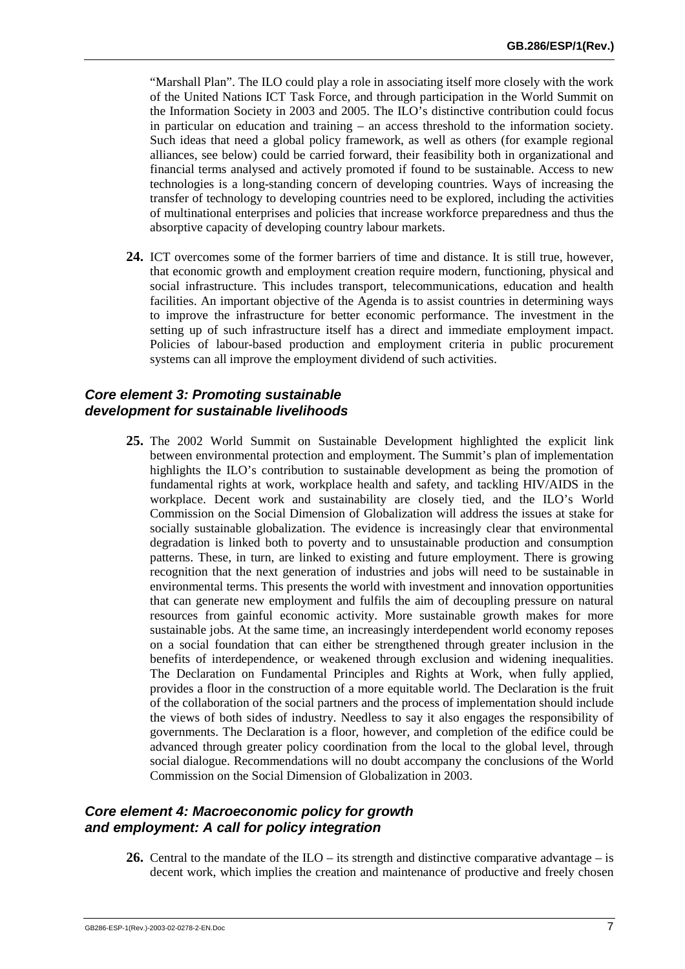"Marshall Plan". The ILO could play a role in associating itself more closely with the work of the United Nations ICT Task Force, and through participation in the World Summit on the Information Society in 2003 and 2005. The ILO's distinctive contribution could focus in particular on education and training – an access threshold to the information society. Such ideas that need a global policy framework, as well as others (for example regional alliances, see below) could be carried forward, their feasibility both in organizational and financial terms analysed and actively promoted if found to be sustainable. Access to new technologies is a long-standing concern of developing countries. Ways of increasing the transfer of technology to developing countries need to be explored, including the activities of multinational enterprises and policies that increase workforce preparedness and thus the absorptive capacity of developing country labour markets.

**24.** ICT overcomes some of the former barriers of time and distance. It is still true, however, that economic growth and employment creation require modern, functioning, physical and social infrastructure. This includes transport, telecommunications, education and health facilities. An important objective of the Agenda is to assist countries in determining ways to improve the infrastructure for better economic performance. The investment in the setting up of such infrastructure itself has a direct and immediate employment impact. Policies of labour-based production and employment criteria in public procurement systems can all improve the employment dividend of such activities.

#### *Core element 3: Promoting sustainable development for sustainable livelihoods*

**25.** The 2002 World Summit on Sustainable Development highlighted the explicit link between environmental protection and employment. The Summit's plan of implementation highlights the ILO's contribution to sustainable development as being the promotion of fundamental rights at work, workplace health and safety, and tackling HIV/AIDS in the workplace. Decent work and sustainability are closely tied, and the ILO's World Commission on the Social Dimension of Globalization will address the issues at stake for socially sustainable globalization. The evidence is increasingly clear that environmental degradation is linked both to poverty and to unsustainable production and consumption patterns. These, in turn, are linked to existing and future employment. There is growing recognition that the next generation of industries and jobs will need to be sustainable in environmental terms. This presents the world with investment and innovation opportunities that can generate new employment and fulfils the aim of decoupling pressure on natural resources from gainful economic activity. More sustainable growth makes for more sustainable jobs. At the same time, an increasingly interdependent world economy reposes on a social foundation that can either be strengthened through greater inclusion in the benefits of interdependence, or weakened through exclusion and widening inequalities. The Declaration on Fundamental Principles and Rights at Work, when fully applied, provides a floor in the construction of a more equitable world. The Declaration is the fruit of the collaboration of the social partners and the process of implementation should include the views of both sides of industry. Needless to say it also engages the responsibility of governments. The Declaration is a floor, however, and completion of the edifice could be advanced through greater policy coordination from the local to the global level, through social dialogue. Recommendations will no doubt accompany the conclusions of the World Commission on the Social Dimension of Globalization in 2003.

### *Core element 4: Macroeconomic policy for growth and employment: A call for policy integration*

**26.** Central to the mandate of the ILO – its strength and distinctive comparative advantage – is decent work, which implies the creation and maintenance of productive and freely chosen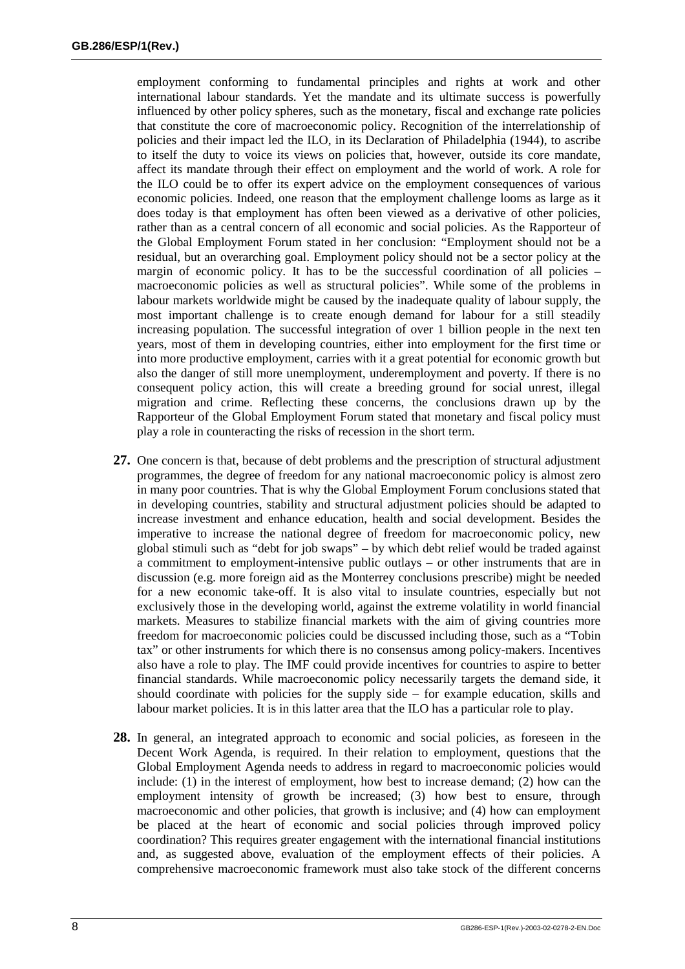employment conforming to fundamental principles and rights at work and other international labour standards. Yet the mandate and its ultimate success is powerfully influenced by other policy spheres, such as the monetary, fiscal and exchange rate policies that constitute the core of macroeconomic policy. Recognition of the interrelationship of policies and their impact led the ILO, in its Declaration of Philadelphia (1944), to ascribe to itself the duty to voice its views on policies that, however, outside its core mandate, affect its mandate through their effect on employment and the world of work. A role for the ILO could be to offer its expert advice on the employment consequences of various economic policies. Indeed, one reason that the employment challenge looms as large as it does today is that employment has often been viewed as a derivative of other policies, rather than as a central concern of all economic and social policies. As the Rapporteur of the Global Employment Forum stated in her conclusion: "Employment should not be a residual, but an overarching goal. Employment policy should not be a sector policy at the margin of economic policy. It has to be the successful coordination of all policies  $$ macroeconomic policies as well as structural policies". While some of the problems in labour markets worldwide might be caused by the inadequate quality of labour supply, the most important challenge is to create enough demand for labour for a still steadily increasing population. The successful integration of over 1 billion people in the next ten years, most of them in developing countries, either into employment for the first time or into more productive employment, carries with it a great potential for economic growth but also the danger of still more unemployment, underemployment and poverty. If there is no consequent policy action, this will create a breeding ground for social unrest, illegal migration and crime. Reflecting these concerns, the conclusions drawn up by the Rapporteur of the Global Employment Forum stated that monetary and fiscal policy must play a role in counteracting the risks of recession in the short term.

- **27.** One concern is that, because of debt problems and the prescription of structural adjustment programmes, the degree of freedom for any national macroeconomic policy is almost zero in many poor countries. That is why the Global Employment Forum conclusions stated that in developing countries, stability and structural adjustment policies should be adapted to increase investment and enhance education, health and social development. Besides the imperative to increase the national degree of freedom for macroeconomic policy, new global stimuli such as "debt for job swaps" – by which debt relief would be traded against a commitment to employment-intensive public outlays – or other instruments that are in discussion (e.g. more foreign aid as the Monterrey conclusions prescribe) might be needed for a new economic take-off. It is also vital to insulate countries, especially but not exclusively those in the developing world, against the extreme volatility in world financial markets. Measures to stabilize financial markets with the aim of giving countries more freedom for macroeconomic policies could be discussed including those, such as a "Tobin tax" or other instruments for which there is no consensus among policy-makers. Incentives also have a role to play. The IMF could provide incentives for countries to aspire to better financial standards. While macroeconomic policy necessarily targets the demand side, it should coordinate with policies for the supply side – for example education, skills and labour market policies. It is in this latter area that the ILO has a particular role to play.
- **28.** In general, an integrated approach to economic and social policies, as foreseen in the Decent Work Agenda, is required. In their relation to employment, questions that the Global Employment Agenda needs to address in regard to macroeconomic policies would include: (1) in the interest of employment, how best to increase demand; (2) how can the employment intensity of growth be increased; (3) how best to ensure, through macroeconomic and other policies, that growth is inclusive; and (4) how can employment be placed at the heart of economic and social policies through improved policy coordination? This requires greater engagement with the international financial institutions and, as suggested above, evaluation of the employment effects of their policies. A comprehensive macroeconomic framework must also take stock of the different concerns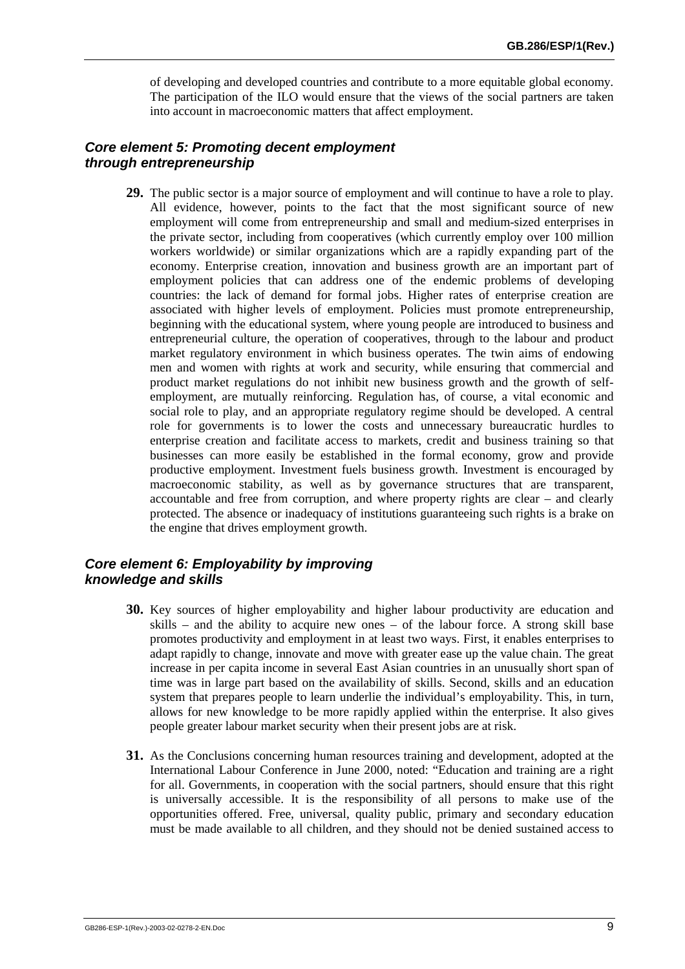of developing and developed countries and contribute to a more equitable global economy. The participation of the ILO would ensure that the views of the social partners are taken into account in macroeconomic matters that affect employment.

#### *Core element 5: Promoting decent employment through entrepreneurship*

**29.** The public sector is a major source of employment and will continue to have a role to play. All evidence, however, points to the fact that the most significant source of new employment will come from entrepreneurship and small and medium-sized enterprises in the private sector, including from cooperatives (which currently employ over 100 million workers worldwide) or similar organizations which are a rapidly expanding part of the economy. Enterprise creation, innovation and business growth are an important part of employment policies that can address one of the endemic problems of developing countries: the lack of demand for formal jobs. Higher rates of enterprise creation are associated with higher levels of employment. Policies must promote entrepreneurship, beginning with the educational system, where young people are introduced to business and entrepreneurial culture, the operation of cooperatives, through to the labour and product market regulatory environment in which business operates. The twin aims of endowing men and women with rights at work and security, while ensuring that commercial and product market regulations do not inhibit new business growth and the growth of selfemployment, are mutually reinforcing. Regulation has, of course, a vital economic and social role to play, and an appropriate regulatory regime should be developed. A central role for governments is to lower the costs and unnecessary bureaucratic hurdles to enterprise creation and facilitate access to markets, credit and business training so that businesses can more easily be established in the formal economy, grow and provide productive employment. Investment fuels business growth. Investment is encouraged by macroeconomic stability, as well as by governance structures that are transparent, accountable and free from corruption, and where property rights are clear – and clearly protected. The absence or inadequacy of institutions guaranteeing such rights is a brake on the engine that drives employment growth.

### *Core element 6: Employability by improving knowledge and skills*

- **30.** Key sources of higher employability and higher labour productivity are education and skills – and the ability to acquire new ones – of the labour force. A strong skill base promotes productivity and employment in at least two ways. First, it enables enterprises to adapt rapidly to change, innovate and move with greater ease up the value chain. The great increase in per capita income in several East Asian countries in an unusually short span of time was in large part based on the availability of skills. Second, skills and an education system that prepares people to learn underlie the individual's employability. This, in turn, allows for new knowledge to be more rapidly applied within the enterprise. It also gives people greater labour market security when their present jobs are at risk.
- **31.** As the Conclusions concerning human resources training and development, adopted at the International Labour Conference in June 2000, noted: "Education and training are a right for all. Governments, in cooperation with the social partners, should ensure that this right is universally accessible. It is the responsibility of all persons to make use of the opportunities offered. Free, universal, quality public, primary and secondary education must be made available to all children, and they should not be denied sustained access to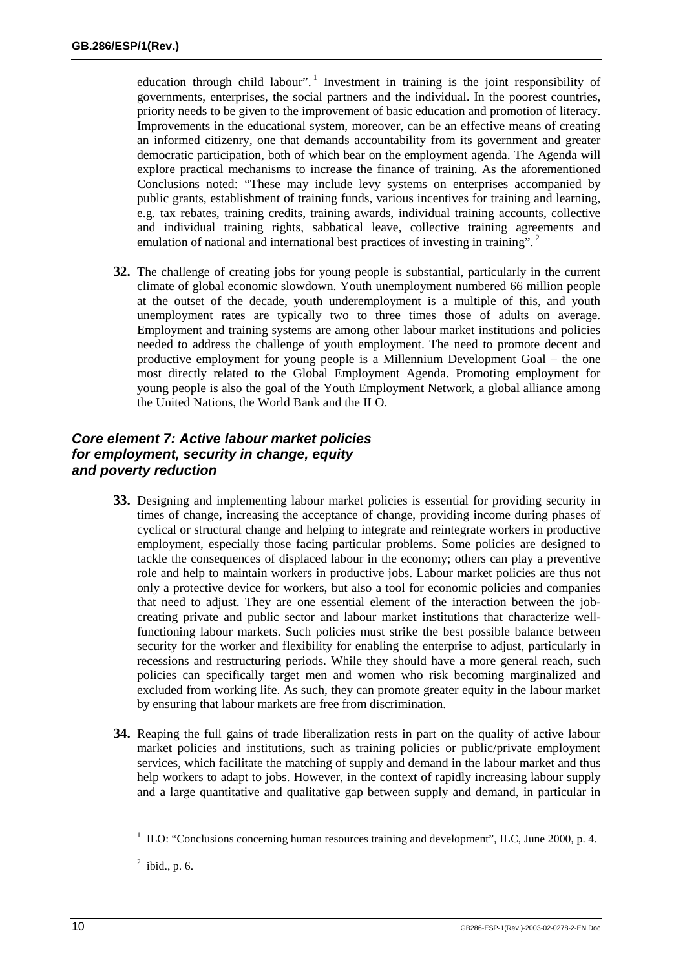education through child labour".<sup>1</sup> Investment in training is the joint responsibility of governments, enterprises, the social partners and the individual. In the poorest countries, priority needs to be given to the improvement of basic education and promotion of literacy. Improvements in the educational system, moreover, can be an effective means of creating an informed citizenry, one that demands accountability from its government and greater democratic participation, both of which bear on the employment agenda. The Agenda will explore practical mechanisms to increase the finance of training. As the aforementioned Conclusions noted: "These may include levy systems on enterprises accompanied by public grants, establishment of training funds, various incentives for training and learning, e.g. tax rebates, training credits, training awards, individual training accounts, collective and individual training rights, sabbatical leave, collective training agreements and emulation of national and international best practices of investing in training".<sup>2</sup>

**32.** The challenge of creating jobs for young people is substantial, particularly in the current climate of global economic slowdown. Youth unemployment numbered 66 million people at the outset of the decade, youth underemployment is a multiple of this, and youth unemployment rates are typically two to three times those of adults on average. Employment and training systems are among other labour market institutions and policies needed to address the challenge of youth employment. The need to promote decent and productive employment for young people is a Millennium Development Goal – the one most directly related to the Global Employment Agenda. Promoting employment for young people is also the goal of the Youth Employment Network, a global alliance among the United Nations, the World Bank and the ILO.

# *Core element 7: Active labour market policies for employment, security in change, equity and poverty reduction*

- **33.** Designing and implementing labour market policies is essential for providing security in times of change, increasing the acceptance of change, providing income during phases of cyclical or structural change and helping to integrate and reintegrate workers in productive employment, especially those facing particular problems. Some policies are designed to tackle the consequences of displaced labour in the economy; others can play a preventive role and help to maintain workers in productive jobs. Labour market policies are thus not only a protective device for workers, but also a tool for economic policies and companies that need to adjust. They are one essential element of the interaction between the jobcreating private and public sector and labour market institutions that characterize wellfunctioning labour markets. Such policies must strike the best possible balance between security for the worker and flexibility for enabling the enterprise to adjust, particularly in recessions and restructuring periods. While they should have a more general reach, such policies can specifically target men and women who risk becoming marginalized and excluded from working life. As such, they can promote greater equity in the labour market by ensuring that labour markets are free from discrimination.
- **34.** Reaping the full gains of trade liberalization rests in part on the quality of active labour market policies and institutions, such as training policies or public/private employment services, which facilitate the matching of supply and demand in the labour market and thus help workers to adapt to jobs. However, in the context of rapidly increasing labour supply and a large quantitative and qualitative gap between supply and demand, in particular in

 $1$  ILO: "Conclusions concerning human resources training and development", ILC, June 2000, p. 4.

 $<sup>2</sup>$  ibid., p. 6.</sup>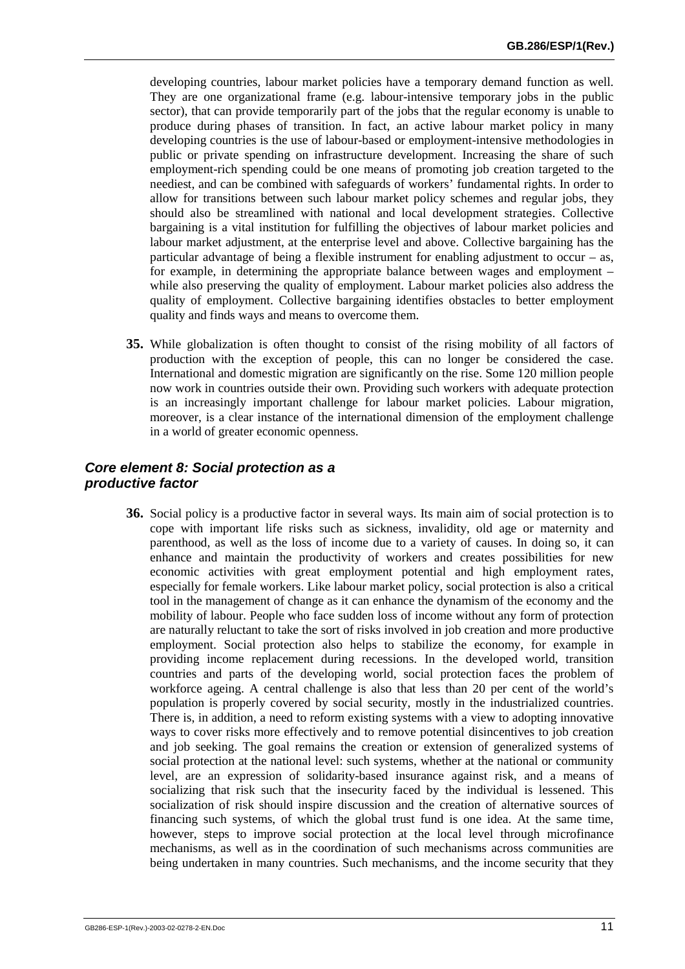developing countries, labour market policies have a temporary demand function as well. They are one organizational frame (e.g. labour-intensive temporary jobs in the public sector), that can provide temporarily part of the jobs that the regular economy is unable to produce during phases of transition. In fact, an active labour market policy in many developing countries is the use of labour-based or employment-intensive methodologies in public or private spending on infrastructure development. Increasing the share of such employment-rich spending could be one means of promoting job creation targeted to the neediest, and can be combined with safeguards of workers' fundamental rights. In order to allow for transitions between such labour market policy schemes and regular jobs, they should also be streamlined with national and local development strategies. Collective bargaining is a vital institution for fulfilling the objectives of labour market policies and labour market adjustment, at the enterprise level and above. Collective bargaining has the particular advantage of being a flexible instrument for enabling adjustment to occur – as, for example, in determining the appropriate balance between wages and employment – while also preserving the quality of employment. Labour market policies also address the quality of employment. Collective bargaining identifies obstacles to better employment quality and finds ways and means to overcome them.

**35.** While globalization is often thought to consist of the rising mobility of all factors of production with the exception of people, this can no longer be considered the case. International and domestic migration are significantly on the rise. Some 120 million people now work in countries outside their own. Providing such workers with adequate protection is an increasingly important challenge for labour market policies. Labour migration, moreover, is a clear instance of the international dimension of the employment challenge in a world of greater economic openness.

#### *Core element 8: Social protection as a productive factor*

**36.** Social policy is a productive factor in several ways. Its main aim of social protection is to cope with important life risks such as sickness, invalidity, old age or maternity and parenthood, as well as the loss of income due to a variety of causes. In doing so, it can enhance and maintain the productivity of workers and creates possibilities for new economic activities with great employment potential and high employment rates, especially for female workers. Like labour market policy, social protection is also a critical tool in the management of change as it can enhance the dynamism of the economy and the mobility of labour. People who face sudden loss of income without any form of protection are naturally reluctant to take the sort of risks involved in job creation and more productive employment. Social protection also helps to stabilize the economy, for example in providing income replacement during recessions. In the developed world, transition countries and parts of the developing world, social protection faces the problem of workforce ageing. A central challenge is also that less than 20 per cent of the world's population is properly covered by social security, mostly in the industrialized countries. There is, in addition, a need to reform existing systems with a view to adopting innovative ways to cover risks more effectively and to remove potential disincentives to job creation and job seeking. The goal remains the creation or extension of generalized systems of social protection at the national level: such systems, whether at the national or community level, are an expression of solidarity-based insurance against risk, and a means of socializing that risk such that the insecurity faced by the individual is lessened. This socialization of risk should inspire discussion and the creation of alternative sources of financing such systems, of which the global trust fund is one idea. At the same time, however, steps to improve social protection at the local level through microfinance mechanisms, as well as in the coordination of such mechanisms across communities are being undertaken in many countries. Such mechanisms, and the income security that they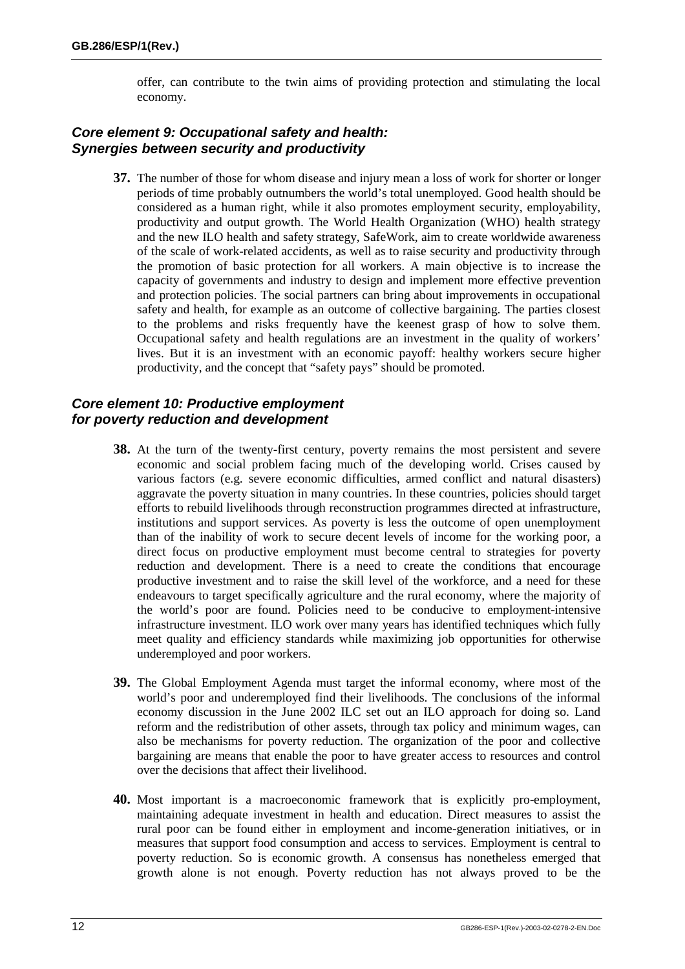offer, can contribute to the twin aims of providing protection and stimulating the local economy.

#### *Core element 9: Occupational safety and health: Synergies between security and productivity*

**37.** The number of those for whom disease and injury mean a loss of work for shorter or longer periods of time probably outnumbers the world's total unemployed. Good health should be considered as a human right, while it also promotes employment security, employability, productivity and output growth. The World Health Organization (WHO) health strategy and the new ILO health and safety strategy, SafeWork, aim to create worldwide awareness of the scale of work-related accidents, as well as to raise security and productivity through the promotion of basic protection for all workers. A main objective is to increase the capacity of governments and industry to design and implement more effective prevention and protection policies. The social partners can bring about improvements in occupational safety and health, for example as an outcome of collective bargaining. The parties closest to the problems and risks frequently have the keenest grasp of how to solve them. Occupational safety and health regulations are an investment in the quality of workers' lives. But it is an investment with an economic payoff: healthy workers secure higher productivity, and the concept that "safety pays" should be promoted.

## *Core element 10: Productive employment for poverty reduction and development*

- **38.** At the turn of the twenty-first century, poverty remains the most persistent and severe economic and social problem facing much of the developing world. Crises caused by various factors (e.g. severe economic difficulties, armed conflict and natural disasters) aggravate the poverty situation in many countries. In these countries, policies should target efforts to rebuild livelihoods through reconstruction programmes directed at infrastructure, institutions and support services. As poverty is less the outcome of open unemployment than of the inability of work to secure decent levels of income for the working poor, a direct focus on productive employment must become central to strategies for poverty reduction and development. There is a need to create the conditions that encourage productive investment and to raise the skill level of the workforce, and a need for these endeavours to target specifically agriculture and the rural economy, where the majority of the world's poor are found. Policies need to be conducive to employment-intensive infrastructure investment. ILO work over many years has identified techniques which fully meet quality and efficiency standards while maximizing job opportunities for otherwise underemployed and poor workers.
- **39.** The Global Employment Agenda must target the informal economy, where most of the world's poor and underemployed find their livelihoods. The conclusions of the informal economy discussion in the June 2002 ILC set out an ILO approach for doing so. Land reform and the redistribution of other assets, through tax policy and minimum wages, can also be mechanisms for poverty reduction. The organization of the poor and collective bargaining are means that enable the poor to have greater access to resources and control over the decisions that affect their livelihood.
- **40.** Most important is a macroeconomic framework that is explicitly pro-employment, maintaining adequate investment in health and education. Direct measures to assist the rural poor can be found either in employment and income-generation initiatives, or in measures that support food consumption and access to services. Employment is central to poverty reduction. So is economic growth. A consensus has nonetheless emerged that growth alone is not enough. Poverty reduction has not always proved to be the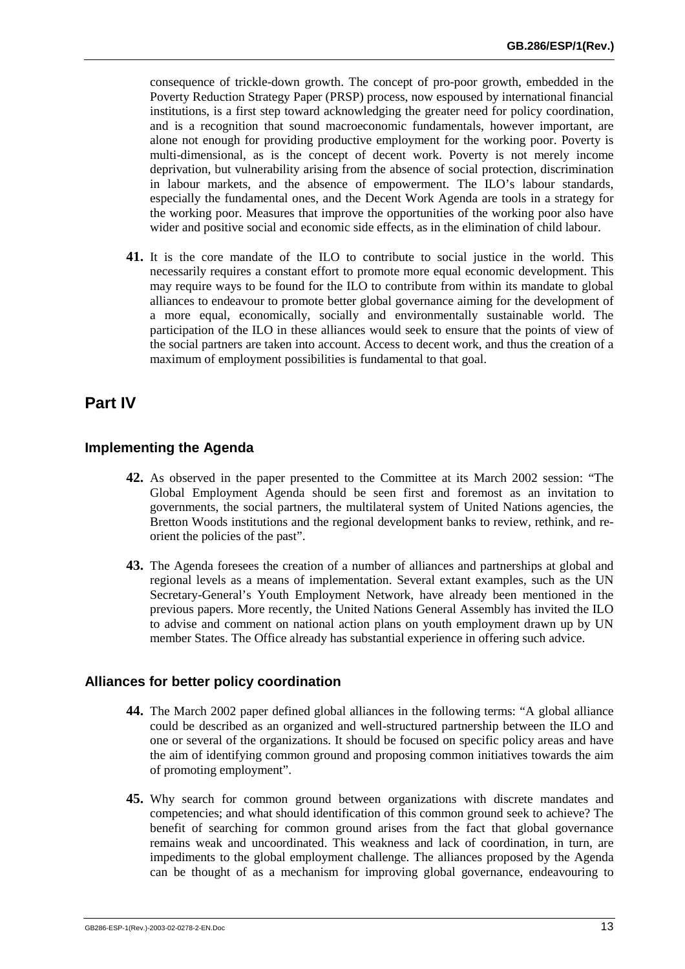consequence of trickle-down growth. The concept of pro-poor growth, embedded in the Poverty Reduction Strategy Paper (PRSP) process, now espoused by international financial institutions, is a first step toward acknowledging the greater need for policy coordination, and is a recognition that sound macroeconomic fundamentals, however important, are alone not enough for providing productive employment for the working poor. Poverty is multi-dimensional, as is the concept of decent work. Poverty is not merely income deprivation, but vulnerability arising from the absence of social protection, discrimination in labour markets, and the absence of empowerment. The ILO's labour standards, especially the fundamental ones, and the Decent Work Agenda are tools in a strategy for the working poor. Measures that improve the opportunities of the working poor also have wider and positive social and economic side effects, as in the elimination of child labour.

**41.** It is the core mandate of the ILO to contribute to social justice in the world. This necessarily requires a constant effort to promote more equal economic development. This may require ways to be found for the ILO to contribute from within its mandate to global alliances to endeavour to promote better global governance aiming for the development of a more equal, economically, socially and environmentally sustainable world. The participation of the ILO in these alliances would seek to ensure that the points of view of the social partners are taken into account. Access to decent work, and thus the creation of a maximum of employment possibilities is fundamental to that goal.

# **Part IV**

#### **Implementing the Agenda**

- **42.** As observed in the paper presented to the Committee at its March 2002 session: "The Global Employment Agenda should be seen first and foremost as an invitation to governments, the social partners, the multilateral system of United Nations agencies, the Bretton Woods institutions and the regional development banks to review, rethink, and reorient the policies of the past".
- **43.** The Agenda foresees the creation of a number of alliances and partnerships at global and regional levels as a means of implementation. Several extant examples, such as the UN Secretary-General's Youth Employment Network, have already been mentioned in the previous papers. More recently, the United Nations General Assembly has invited the ILO to advise and comment on national action plans on youth employment drawn up by UN member States. The Office already has substantial experience in offering such advice.

#### **Alliances for better policy coordination**

- **44.** The March 2002 paper defined global alliances in the following terms: "A global alliance could be described as an organized and well-structured partnership between the ILO and one or several of the organizations. It should be focused on specific policy areas and have the aim of identifying common ground and proposing common initiatives towards the aim of promoting employment".
- **45.** Why search for common ground between organizations with discrete mandates and competencies; and what should identification of this common ground seek to achieve? The benefit of searching for common ground arises from the fact that global governance remains weak and uncoordinated. This weakness and lack of coordination, in turn, are impediments to the global employment challenge. The alliances proposed by the Agenda can be thought of as a mechanism for improving global governance, endeavouring to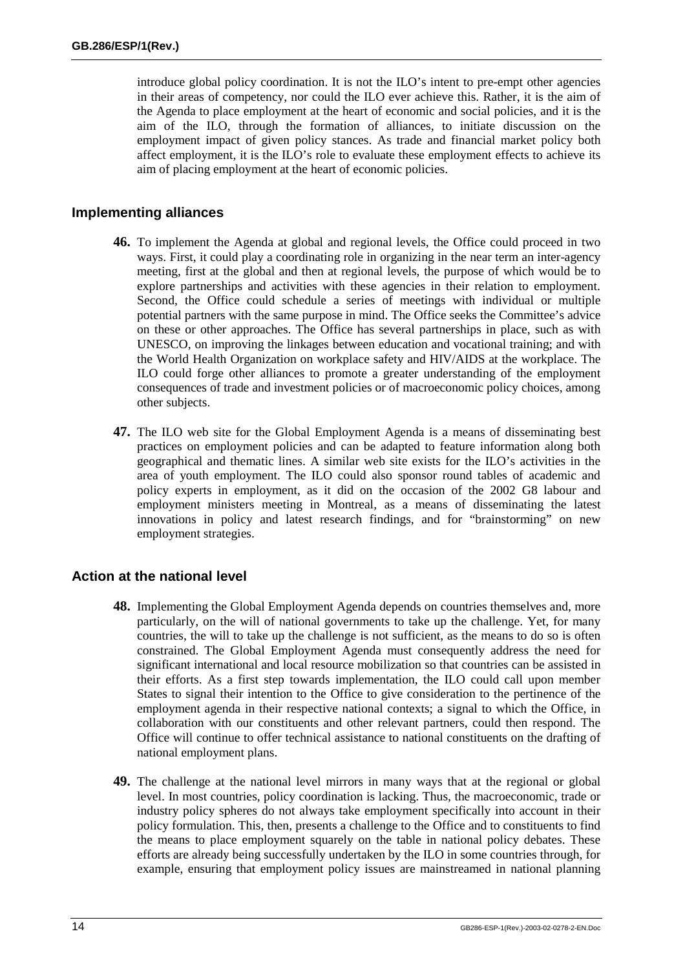introduce global policy coordination. It is not the ILO's intent to pre-empt other agencies in their areas of competency, nor could the ILO ever achieve this. Rather, it is the aim of the Agenda to place employment at the heart of economic and social policies, and it is the aim of the ILO, through the formation of alliances, to initiate discussion on the employment impact of given policy stances. As trade and financial market policy both affect employment, it is the ILO's role to evaluate these employment effects to achieve its aim of placing employment at the heart of economic policies.

#### **Implementing alliances**

- **46.** To implement the Agenda at global and regional levels, the Office could proceed in two ways. First, it could play a coordinating role in organizing in the near term an inter-agency meeting, first at the global and then at regional levels, the purpose of which would be to explore partnerships and activities with these agencies in their relation to employment. Second, the Office could schedule a series of meetings with individual or multiple potential partners with the same purpose in mind. The Office seeks the Committee's advice on these or other approaches. The Office has several partnerships in place, such as with UNESCO, on improving the linkages between education and vocational training; and with the World Health Organization on workplace safety and HIV/AIDS at the workplace. The ILO could forge other alliances to promote a greater understanding of the employment consequences of trade and investment policies or of macroeconomic policy choices, among other subjects.
- **47.** The ILO web site for the Global Employment Agenda is a means of disseminating best practices on employment policies and can be adapted to feature information along both geographical and thematic lines. A similar web site exists for the ILO's activities in the area of youth employment. The ILO could also sponsor round tables of academic and policy experts in employment, as it did on the occasion of the 2002 G8 labour and employment ministers meeting in Montreal, as a means of disseminating the latest innovations in policy and latest research findings, and for "brainstorming" on new employment strategies.

#### **Action at the national level**

- **48.** Implementing the Global Employment Agenda depends on countries themselves and, more particularly, on the will of national governments to take up the challenge. Yet, for many countries, the will to take up the challenge is not sufficient, as the means to do so is often constrained. The Global Employment Agenda must consequently address the need for significant international and local resource mobilization so that countries can be assisted in their efforts. As a first step towards implementation, the ILO could call upon member States to signal their intention to the Office to give consideration to the pertinence of the employment agenda in their respective national contexts; a signal to which the Office, in collaboration with our constituents and other relevant partners, could then respond. The Office will continue to offer technical assistance to national constituents on the drafting of national employment plans.
- **49.** The challenge at the national level mirrors in many ways that at the regional or global level. In most countries, policy coordination is lacking. Thus, the macroeconomic, trade or industry policy spheres do not always take employment specifically into account in their policy formulation. This, then, presents a challenge to the Office and to constituents to find the means to place employment squarely on the table in national policy debates. These efforts are already being successfully undertaken by the ILO in some countries through, for example, ensuring that employment policy issues are mainstreamed in national planning